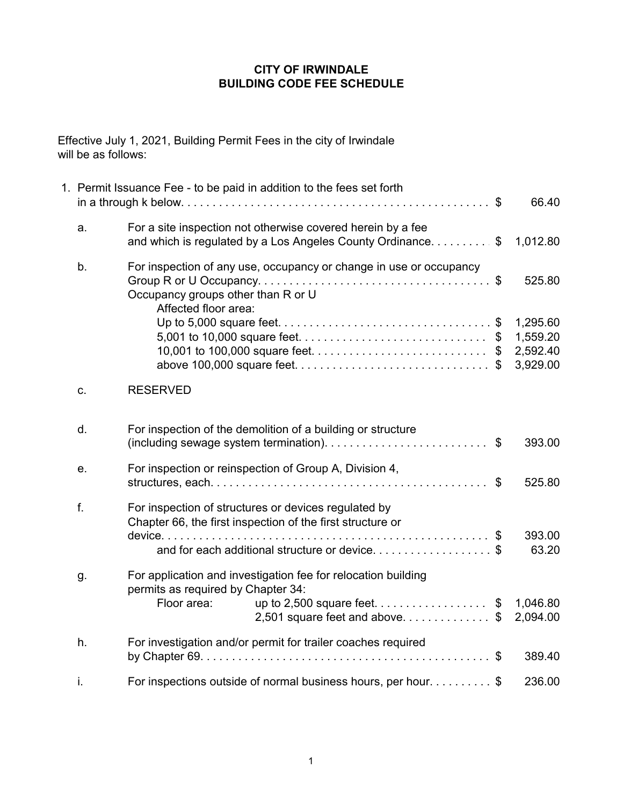## CITY OF IRWINDALE BUILDING CODE FEE SCHEDULE

Effective July 1, 2021, Building Permit Fees in the city of Irwindale will be as follows:

|    | 1. Permit Issuance Fee - to be paid in addition to the fees set forth                                                                                                            | 66.40                                        |  |
|----|----------------------------------------------------------------------------------------------------------------------------------------------------------------------------------|----------------------------------------------|--|
| a. | For a site inspection not otherwise covered herein by a fee<br>and which is regulated by a Los Angeles County Ordinance $\frac{1}{2}$                                            | 1,012.80                                     |  |
| b. | For inspection of any use, occupancy or change in use or occupancy<br>Occupancy groups other than R or U<br>Affected floor area:                                                 | 525.80                                       |  |
|    | 10,001 to 100,000 square feet\$                                                                                                                                                  | 1,295.60<br>1,559.20<br>2,592.40<br>3,929.00 |  |
| C. | <b>RESERVED</b>                                                                                                                                                                  |                                              |  |
| d. | For inspection of the demolition of a building or structure                                                                                                                      | 393.00                                       |  |
| е. | For inspection or reinspection of Group A, Division 4,                                                                                                                           | 525.80                                       |  |
| f. | For inspection of structures or devices regulated by<br>Chapter 66, the first inspection of the first structure or<br>and for each additional structure or device\$              | 393.00<br>63.20                              |  |
| g. | For application and investigation fee for relocation building<br>permits as required by Chapter 34:<br>up to 2,500 square feet\$<br>Floor area:<br>2,501 square feet and above\$ | 1,046.80<br>2,094.00                         |  |
| h. | For investigation and/or permit for trailer coaches required                                                                                                                     | 389.40                                       |  |
| i. | For inspections outside of normal business hours, per hour\$                                                                                                                     | 236.00                                       |  |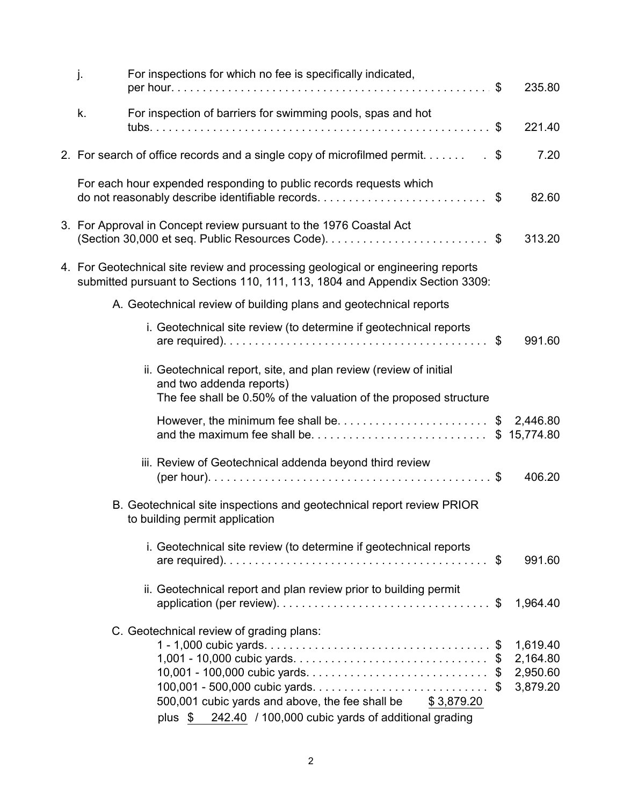|                                                                                  | j. | For inspections for which no fee is specifically indicated,                                                                                                                                                                                                              | 235.80                                       |
|----------------------------------------------------------------------------------|----|--------------------------------------------------------------------------------------------------------------------------------------------------------------------------------------------------------------------------------------------------------------------------|----------------------------------------------|
|                                                                                  | k. | For inspection of barriers for swimming pools, spas and hot                                                                                                                                                                                                              | 221.40                                       |
|                                                                                  |    | 2. For search of office records and a single copy of microfilmed permit. $\dots \dots$                                                                                                                                                                                   | 7.20                                         |
|                                                                                  |    | For each hour expended responding to public records requests which                                                                                                                                                                                                       | 82.60                                        |
|                                                                                  |    | 3. For Approval in Concept review pursuant to the 1976 Coastal Act<br>(Section 30,000 et seq. Public Resources Code)\$                                                                                                                                                   | 313.20                                       |
| 4. For Geotechnical site review and processing geological or engineering reports |    | submitted pursuant to Sections 110, 111, 113, 1804 and Appendix Section 3309:                                                                                                                                                                                            |                                              |
|                                                                                  |    | A. Geotechnical review of building plans and geotechnical reports                                                                                                                                                                                                        |                                              |
|                                                                                  |    | i. Geotechnical site review (to determine if geotechnical reports                                                                                                                                                                                                        | 991.60                                       |
|                                                                                  |    | ii. Geotechnical report, site, and plan review (review of initial<br>and two addenda reports)<br>The fee shall be 0.50% of the valuation of the proposed structure                                                                                                       |                                              |
|                                                                                  |    | However, the minimum fee shall be\$ 2,446.80<br>and the maximum fee shall be\$ 15,774.80                                                                                                                                                                                 |                                              |
|                                                                                  |    | iii. Review of Geotechnical addenda beyond third review                                                                                                                                                                                                                  | 406.20                                       |
|                                                                                  |    | B. Geotechnical site inspections and geotechnical report review PRIOR<br>to building permit application                                                                                                                                                                  |                                              |
|                                                                                  |    | i. Geotechnical site review (to determine if geotechnical reports                                                                                                                                                                                                        | 991.60                                       |
|                                                                                  |    | ii. Geotechnical report and plan review prior to building permit                                                                                                                                                                                                         | \$<br>1,964.40                               |
|                                                                                  |    | C. Geotechnical review of grading plans:<br>1,001 - 10,000 cubic yards\$<br>10,001 - 100,000 cubic yards\$<br>100,001 - 500,000 cubic yards\$<br>500,001 cubic yards and above, the fee shall be \$3,879.20<br>plus \$242.40 / 100,000 cubic yards of additional grading | 1,619.40<br>2,164.80<br>2,950.60<br>3,879.20 |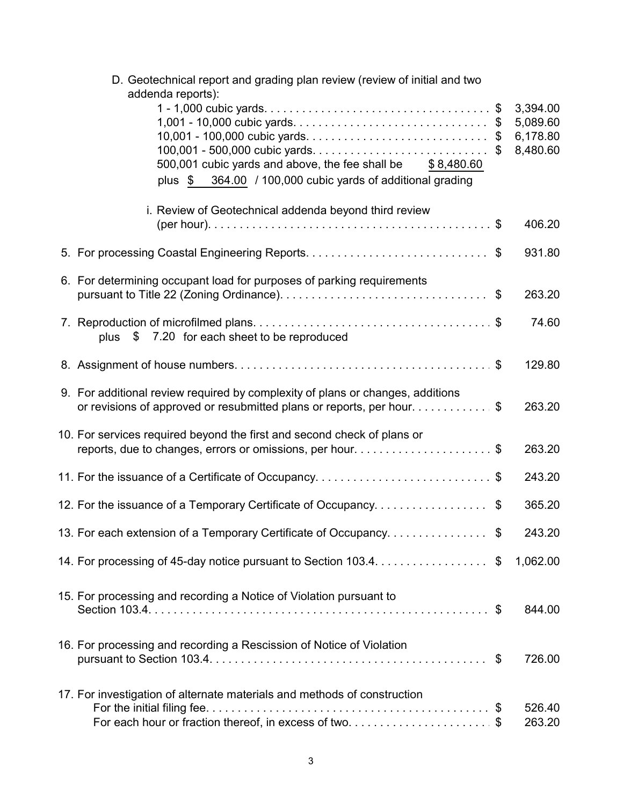| D. Geotechnical report and grading plan review (review of initial and two<br>addenda reports): |          |  |
|------------------------------------------------------------------------------------------------|----------|--|
|                                                                                                | 3,394.00 |  |
|                                                                                                | 5,089.60 |  |
| 10,001 - 100,000 cubic yards\$                                                                 | 6,178.80 |  |
| 100,001 - 500,000 cubic yards\$                                                                | 8,480.60 |  |
| 500,001 cubic yards and above, the fee shall be \$8,480.60                                     |          |  |
| plus \$ 364.00 / 100,000 cubic yards of additional grading                                     |          |  |
| i. Review of Geotechnical addenda beyond third review                                          |          |  |
|                                                                                                | 406.20   |  |
| 5. For processing Coastal Engineering Reports\$                                                | 931.80   |  |
| 6. For determining occupant load for purposes of parking requirements                          |          |  |
|                                                                                                | 263.20   |  |
|                                                                                                | 74.60    |  |
| plus \$7.20 for each sheet to be reproduced                                                    |          |  |
|                                                                                                | 129.80   |  |
| 9. For additional review required by complexity of plans or changes, additions                 |          |  |
| or revisions of approved or resubmitted plans or reports, per hour\$                           | 263.20   |  |
| 10. For services required beyond the first and second check of plans or                        |          |  |
|                                                                                                | 263.20   |  |
| 11. For the issuance of a Certificate of Occupancy\$                                           | 243.20   |  |
| 12. For the issuance of a Temporary Certificate of Occupancy\$                                 | 365.20   |  |
| 13. For each extension of a Temporary Certificate of Occupancy. \$                             | 243.20   |  |
| 14. For processing of 45-day notice pursuant to Section 103.4. \$                              | 1,062.00 |  |
| 15. For processing and recording a Notice of Violation pursuant to                             |          |  |
|                                                                                                | 844.00   |  |
| 16. For processing and recording a Rescission of Notice of Violation                           |          |  |
|                                                                                                | 726.00   |  |
| 17. For investigation of alternate materials and methods of construction                       |          |  |
|                                                                                                | 526.40   |  |
| For each hour or fraction thereof, in excess of two\$                                          | 263.20   |  |